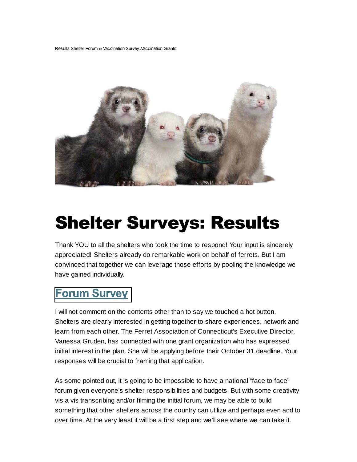Results Shelter Forum & Vaccination Survey..Vaccination Grants



## **Shelter Surveys: Results**

Thank YOU to all the shelters who took the time to respond! Your input is sincerely appreciated! Shelters already do remarkable work on behalf of ferrets. But I am convinced that together we can leverage those efforts by pooling the knowledge we have gained individually.

## **Forum Survey**

I will not comment on the contents other than to say we touched a hot button. Shelters are clearly interested in getting together to share experiences, network and learn from each other. The Ferret Association of Connecticut's Executive Director, Vanessa Gruden, has connected with one grant organization who has expressed initial interest in the plan. She will be applying before their October 31 deadline. Your responses will be crucial to framing that application.

As some pointed out, it is going to be impossible to have a national "face to face" forum given everyone's shelter responsibilities and budgets. But with some creativity vis a vis transcribing and/or filming the initial forum, we may be able to build something that other shelters across the country can utilize and perhaps even add to over time. At the very least it will be a first step and we'll see where we can take it.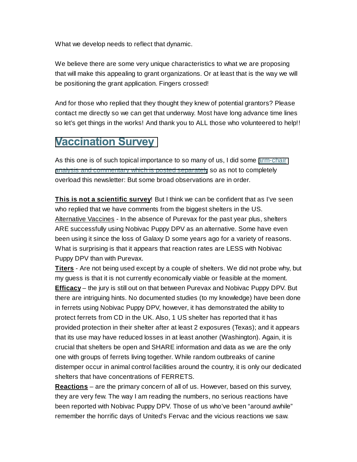What we develop needs to reflect that dynamic.

We believe there are some very unique characteristics to what we are proposing that will make this appealing to grant organizations. Or at least that is the way we will be positioning the grant application. Fingers crossed!

And for those who replied that they thought they knew of potential grantors? Please contact me directly so we can get that underway. Most have long advance time lines so let's get things in the works! And thank you to ALL those who volunteered to help!!

## **Vaccination Survey**

As this one is of such topical importance to so many of us, I did some [arm-chair](http://ferretshelters.org/wp-content/uploads/2014/10/Vaccination-Survey-Observations.pdf) [analysis and commentary which is posted separately](http://ferretshelters.org/wp-content/uploads/2014/10/Vaccination-Survey-Observations.pdf) so as not to completely overload this newsletter: But some broad observations are in order.

**This is not a scientific survey**! But I think we can be confident that as I've seen who replied that we have comments from the biggest shelters in the US. Alternative Vaccines - In the absence of Purevax for the past year plus, shelters ARE successfully using Nobivac Puppy DPV as an alternative. Some have even been using it since the loss of Galaxy D some years ago for a variety of reasons. What is surprising is that it appears that reaction rates are LESS with Nobivac Puppy DPV than with Purevax.

**Titers** - Are not being used except by a couple of shelters. We did not probe why, but my guess is that it is not currently economically viable or feasible at the moment. **Efficacy** – the jury is still out on that between Purevax and Nobivac Puppy DPV. But there are intriguing hints. No documented studies (to my knowledge) have been done in ferrets using Nobivac Puppy DPV, however, it has demonstrated the ability to protect ferrets from CD in the UK. Also, 1 US shelter has reported that it has provided protection in their shelter after at least 2 exposures (Texas); and it appears that its use may have reduced losses in at least another (Washington). Again, it is crucial that shelters be open and SHARE information and data as we are the only one with groups of ferrets living together. While random outbreaks of canine distemper occur in animal control facilities around the country, it is only our dedicated shelters that have concentrations of FERRETS.

**Reactions** – are the primary concern of all of us. However, based on this survey, they are very few. The way I am reading the numbers, no serious reactions have been reported with Nobivac Puppy DPV. Those of us who've been "around awhile" remember the horrific days of United's Fervac and the vicious reactions we saw.